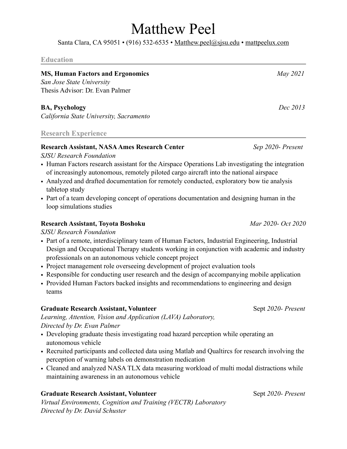# Matthew Peel

Santa Clara, CA 95051 • (916) 532-6535 • [Matthew.peel@sjsu.edu](mailto:matthew.peel@sjsu.edu) • [mattpeelux.com](http://mattpeelux.com)

#### **Education**

## **MS, Human Factors and Ergonomics** *May 2021 San Jose State University*  Thesis Advisor: Dr. Evan Palmer

**BA, Psychology** *Dec 2013*

*California State University, Sacramento* 

## **Research Experience**

# **Research Assistant, NASA Ames Research Center** *Sep 2020- Present*

*SJSU Research Foundation* 

- Human Factors research assistant for the Airspace Operations Lab investigating the integration of increasingly autonomous, remotely piloted cargo aircraft into the national airspace
- Analyzed and drafted documentation for remotely conducted, exploratory bow tie analysis tabletop study
- Part of a team developing concept of operations documentation and designing human in the loop simulations studies

# **Research Assistant, Toyota Boshoku** *Mar 2020- Oct 2020*

*SJSU Research Foundation* 

- Part of a remote, interdisciplinary team of Human Factors, Industrial Engineering, Industrial Design and Occupational Therapy students working in conjunction with academic and industry professionals on an autonomous vehicle concept project
- Project management role overseeing development of project evaluation tools
- Responsible for conducting user research and the design of accompanying mobile application
- Provided Human Factors backed insights and recommendations to engineering and design teams

## **Graduate Research Assistant, Volunteer** Sept 2020- Present

*Learning, Attention, Vision and Application (LAVA) Laboratory, Directed by Dr. Evan Palmer* 

- Developing graduate thesis investigating road hazard perception while operating an autonomous vehicle
- Recruited participants and collected data using Matlab and Qualtircs for research involving the perception of warning labels on demonstration medication
- Cleaned and analyzed NASA TLX data measuring workload of multi modal distractions while maintaining awareness in an autonomous vehicle

# **Graduate Research Assistant, Volunteer Sept** 2020- Present

*Virtual Environments, Cognition and Training (VECTR) Laboratory Directed by Dr. David Schuster*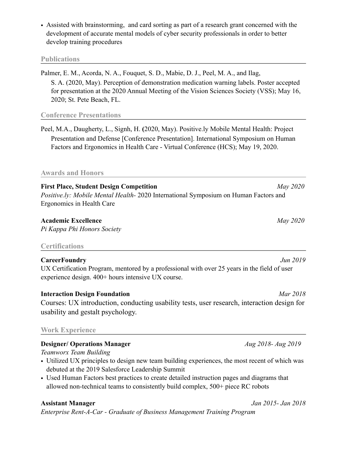• Assisted with brainstorming, and card sorting as part of a research grant concerned with the development of accurate mental models of cyber security professionals in order to better develop training procedures

#### **Publications**

Palmer, E. M., Acorda, N. A., Fouquet, S. D., Mabie, D. J., Peel, M. A., and Ilag, S. A. (2020, May). Perception of demonstration medication warning labels. Poster accepted for presentation at the 2020 Annual Meeting of the Vision Sciences Society (VSS); May 16, 2020; St. Pete Beach, FL.

## **Conference Presentations**

Peel, M.A., Daugherty, L., Signh, H. **(**2020, May). Positive.ly Mobile Mental Health: Project Presentation and Defense [Conference Presentation]. International Symposium on Human Factors and Ergonomics in Health Care - Virtual Conference (HCS); May 19, 2020.

## **Awards and Honors**

**First Place, Student Design Competition** *May 2020 Positive.ly: Mobile Mental Health-* 2020 International Symposium on Human Factors and Ergonomics in Health Care

## **Academic Excellence** *May 2020*

*Pi Kappa Phi Honors Society* 

#### **Certifications**

## **CareerFoundry** *Jun 2019*

UX Certification Program, mentored by a professional with over 25 years in the field of user experience design. 400+ hours intensive UX course.

# **Interaction Design Foundation** *Mar 2018*

Courses: UX introduction, conducting usability tests, user research, interaction design for usability and gestalt psychology.

## **Work Experience**

## **Designer/ Operations Manager** *Aug 2018- Aug 2019*

*Teamworx Team Building* 

- Utilized UX principles to design new team building experiences, the most recent of which was debuted at the 2019 Salesforce Leadership Summit
- Used Human Factors best practices to create detailed instruction pages and diagrams that allowed non-technical teams to consistently build complex, 500+ piece RC robots

## **Assistant Manager** *Jan 2015- Jan 2018*

*Enterprise Rent-A-Car - Graduate of Business Management Training Program*